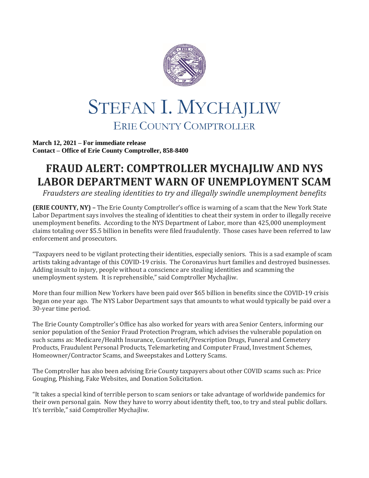

## STEFAN I. MYCHAJLIW ERIE COUNTY COMPTROLLER

**March 12, 2021 – For immediate release Contact – Office of Erie County Comptroller, 858-8400**

## **FRAUD ALERT: COMPTROLLER MYCHAJLIW AND NYS LABOR DEPARTMENT WARN OF UNEMPLOYMENT SCAM**

*Fraudsters are stealing identities to try and illegally swindle unemployment benefits*

**(ERIE COUNTY, NY) –** The Erie County Comptroller's office is warning of a scam that the New York State Labor Department says involves the stealing of identities to cheat their system in order to illegally receive unemployment benefits. According to the NYS Department of Labor, more than 425,000 unemployment claims totaling over \$5.5 billion in benefits were filed fraudulently. Those cases have been referred to law enforcement and prosecutors.

"Taxpayers need to be vigilant protecting their identities, especially seniors. This is a sad example of scam artists taking advantage of this COVID-19 crisis. The Coronavirus hurt families and destroyed businesses. Adding insult to injury, people without a conscience are stealing identities and scamming the unemployment system. It is reprehensible," said Comptroller Mychajliw.

More than four million New Yorkers have been paid over \$65 billion in benefits since the COVID-19 crisis began one year ago. The NYS Labor Department says that amounts to what would typically be paid over a 30-year time period.

The Erie County Comptroller's Office has also worked for years with area Senior Centers, informing our senior population of the Senior Fraud Protection Program, which advises the vulnerable population on such scams as: Medicare/Health Insurance, Counterfeit/Prescription Drugs, Funeral and Cemetery Products, Fraudulent Personal Products, Telemarketing and Computer Fraud, Investment Schemes, Homeowner/Contractor Scams, and Sweepstakes and Lottery Scams.

The Comptroller has also been advising Erie County taxpayers about other COVID scams such as: Price Gouging, Phishing, Fake Websites, and Donation Solicitation.

"It takes a special kind of terrible person to scam seniors or take advantage of worldwide pandemics for their own personal gain. Now they have to worry about identity theft, too, to try and steal public dollars. It's terrible," said Comptroller Mychajliw.